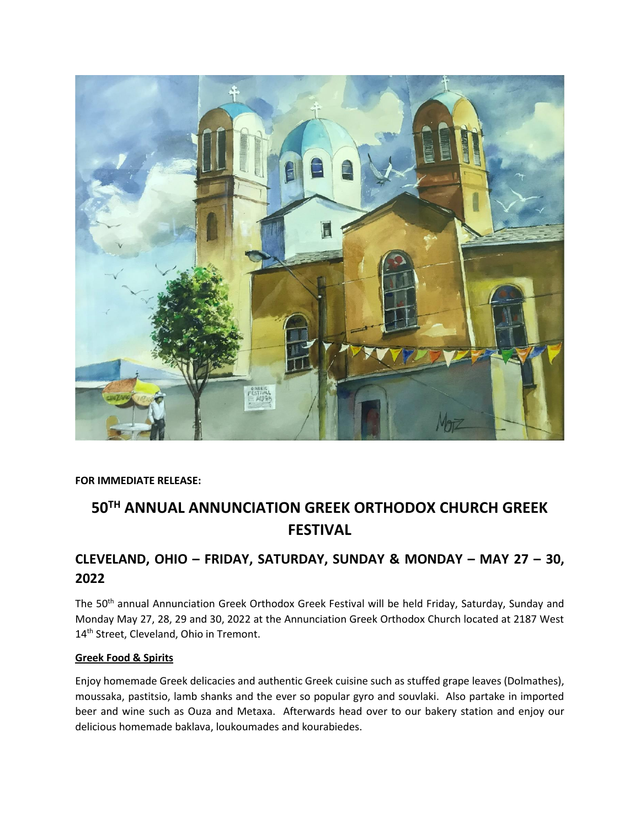

#### **FOR IMMEDIATE RELEASE:**

# **50TH ANNUAL ANNUNCIATION GREEK ORTHODOX CHURCH GREEK FESTIVAL**

## **CLEVELAND, OHIO – FRIDAY, SATURDAY, SUNDAY & MONDAY – MAY 27 – 30, 2022**

The 50<sup>th</sup> annual Annunciation Greek Orthodox Greek Festival will be held Friday, Saturday, Sunday and Monday May 27, 28, 29 and 30, 2022 at the Annunciation Greek Orthodox Church located at 2187 West 14<sup>th</sup> Street, Cleveland, Ohio in Tremont.

#### **Greek Food & Spirits**

Enjoy homemade Greek delicacies and authentic Greek cuisine such as stuffed grape leaves (Dolmathes), moussaka, pastitsio, lamb shanks and the ever so popular gyro and souvlaki. Also partake in imported beer and wine such as Ouza and Metaxa. Afterwards head over to our bakery station and enjoy our delicious homemade baklava, loukoumades and kourabiedes.